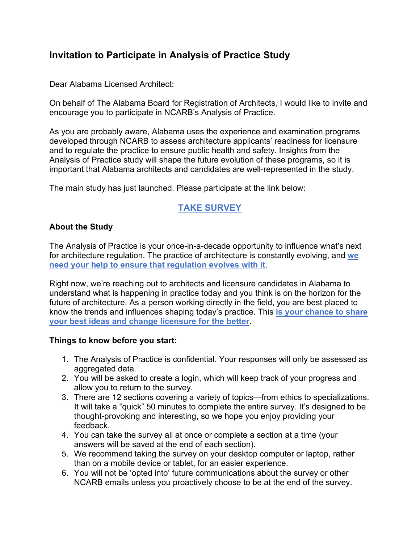# **Invitation to Participate in Analysis of Practice Study**

Dear Alabama Licensed Architect**:**

On behalf of The Alabama Board for Registration of Architects**,** I would like to invite and encourage you to participate in NCARB's Analysis of Practice.

As you are probably aware, Alabama uses the experience and examination programs developed through NCARB to assess architecture applicants' readiness for licensure and to regulate the practice to ensure public health and safety. Insights from the Analysis of Practice study will shape the future evolution of these programs, so it is important that Alabama architects and candidates are well-represented in the study.

The main study has just launched. Please participate at the link below:

# **[TAKE SURVEY](https://analysisofpractice.com/)**

### **About the Study**

The Analysis of Practice is your once-in-a-decade opportunity to influence what's next for architecture regulation. The practice of architecture is constantly evolving, and **[we](https://analysisofpractice.com/)  [need your help to ensure that regulation evolves with it](https://analysisofpractice.com/)**.

Right now, we're reaching out to architects and licensure candidates in Alabama to understand what is happening in practice today and you think is on the horizon for the future of architecture. As a person working directly in the field, you are best placed to know the trends and influences shaping today's practice. This **[is your chance to share](https://analysisofpractice.com/)  [your best ideas and change licensure for the better](https://analysisofpractice.com/)**.

#### **Things to know before you start:**

- 1. The Analysis of Practice is confidential. Your responses will only be assessed as aggregated data.
- 2. You will be asked to create a login, which will keep track of your progress and allow you to return to the survey.
- 3. There are 12 sections covering a variety of topics—from ethics to specializations. It will take a "quick" 50 minutes to complete the entire survey. It's designed to be thought-provoking and interesting, so we hope you enjoy providing your feedback.
- 4. You can take the survey all at once or complete a section at a time (your answers will be saved at the end of each section).
- 5. We recommend taking the survey on your desktop computer or laptop, rather than on a mobile device or tablet, for an easier experience.
- 6. You will not be 'opted into' future communications about the survey or other NCARB emails unless you proactively choose to be at the end of the survey.